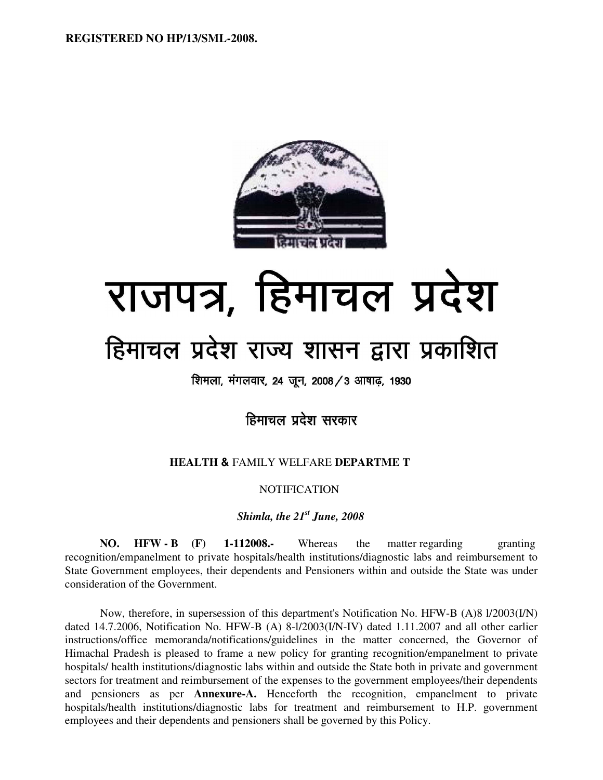

# राजपत्र, हिमाचल प्रदेश

# हिमाचल प्रदेश राज्य शासन द्वारा प्रकाशित

शिमला, मंगलवार, 24 जून, 2008 / 3 आषाढ़, 1930

हिमाचल प्रदेश सरकार

# **HEALTH &** FAMILY WELFARE **DEPARTME T**

# **NOTIFICATION**

*Shimla, the 21st June, 2008* 

**NO. HFW - B (F) 1-112008.-** Whereas the matter regarding granting recognition/empanelment to private hospitals/health institutions/diagnostic labs and reimbursement to State Government employees, their dependents and Pensioners within and outside the State was under consideration of the Government.

Now, therefore, in supersession of this department's Notification No. HFW-B (A)8 l/2003(I/N) dated 14.7.2006, Notification No. HFW-B (A) 8-l/2003(I/N-IV) dated 1.11.2007 and all other earlier instructions/office memoranda/notifications/guidelines in the matter concerned, the Governor of Himachal Pradesh is pleased to frame a new policy for granting recognition/empanelment to private hospitals/ health institutions/diagnostic labs within and outside the State both in private and government sectors for treatment and reimbursement of the expenses to the government employees/their dependents and pensioners as per **Annexure-A.** Henceforth the recognition, empanelment to private hospitals/health institutions/diagnostic labs for treatment and reimbursement to H.P. government employees and their dependents and pensioners shall be governed by this Policy.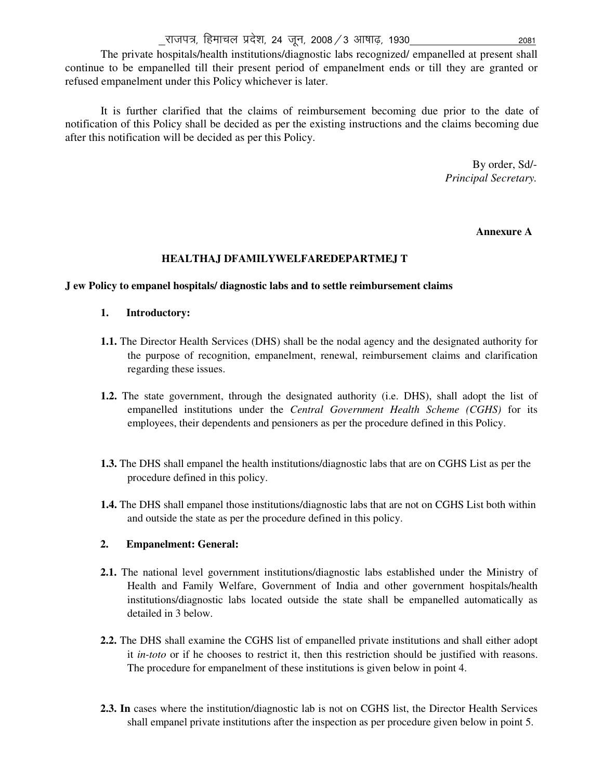The private hospitals/health institutions/diagnostic labs recognized/ empanelled at present shall continue to be empanelled till their present period of empanelment ends or till they are granted or refused empanelment under this Policy whichever is later.

It is further clarified that the claims of reimbursement becoming due prior to the date of notification of this Policy shall be decided as per the existing instructions and the claims becoming due after this notification will be decided as per this Policy.

> By order, Sd/- *Principal Secretary.*

# **Annexure A**

#### **HEALTHAJ DFAMILYWELFAREDEPARTMEJ T**

#### **J ew Policy to empanel hospitals/ diagnostic labs and to settle reimbursement claims**

# **1. Introductory:**

- **1.1.** The Director Health Services (DHS) shall be the nodal agency and the designated authority for the purpose of recognition, empanelment, renewal, reimbursement claims and clarification regarding these issues.
- **1.2.** The state government, through the designated authority (i.e. DHS), shall adopt the list of empanelled institutions under the *Central Government Health Scheme (CGHS)* for its employees, their dependents and pensioners as per the procedure defined in this Policy.
- **1.3.** The DHS shall empanel the health institutions/diagnostic labs that are on CGHS List as per the procedure defined in this policy.
- **1.4.** The DHS shall empanel those institutions/diagnostic labs that are not on CGHS List both within and outside the state as per the procedure defined in this policy.

#### **2. Empanelment: General:**

- **2.1.** The national level government institutions/diagnostic labs established under the Ministry of Health and Family Welfare, Government of India and other government hospitals/health institutions/diagnostic labs located outside the state shall be empanelled automatically as detailed in 3 below.
- **2.2.** The DHS shall examine the CGHS list of empanelled private institutions and shall either adopt it *in-toto* or if he chooses to restrict it, then this restriction should be justified with reasons. The procedure for empanelment of these institutions is given below in point 4.
- **2.3. In** cases where the institution/diagnostic lab is not on CGHS list, the Director Health Services shall empanel private institutions after the inspection as per procedure given below in point 5.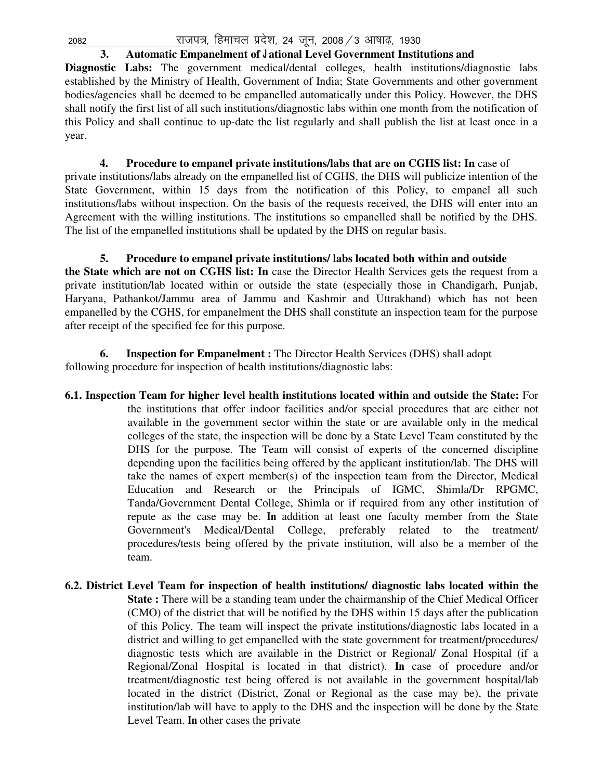**3. Automatic Empanelment of J ational Level Government Institutions and Diagnostic Labs:** The government medical/dental colleges, health institutions/diagnostic labs established by the Ministry of Health, Government of India; State Governments and other government bodies/agencies shall be deemed to be empanelled automatically under this Policy. However, the DHS shall notify the first list of all such institutions/diagnostic labs within one month from the notification of this Policy and shall continue to up-date the list regularly and shall publish the list at least once in a year.

**4. Procedure to empanel private institutions/labs that are on CGHS list: In** case of private institutions/labs already on the empanelled list of CGHS, the DHS will publicize intention of the State Government, within 15 days from the notification of this Policy, to empanel all such institutions/labs without inspection. On the basis of the requests received, the DHS will enter into an Agreement with the willing institutions. The institutions so empanelled shall be notified by the DHS. The list of the empanelled institutions shall be updated by the DHS on regular basis.

**5. Procedure to empanel private institutions/ labs located both within and outside the State which are not on CGHS list: In** case the Director Health Services gets the request from a private institution/lab located within or outside the state (especially those in Chandigarh, Punjab, Haryana, Pathankot/Jammu area of Jammu and Kashmir and Uttrakhand) which has not been empanelled by the CGHS, for empanelment the DHS shall constitute an inspection team for the purpose after receipt of the specified fee for this purpose.

**6. Inspection for Empanelment :** The Director Health Services (DHS) shall adopt following procedure for inspection of health institutions/diagnostic labs:

- **6.1. Inspection Team for higher level health institutions located within and outside the State:** For the institutions that offer indoor facilities and/or special procedures that are either not available in the government sector within the state or are available only in the medical colleges of the state, the inspection will be done by a State Level Team constituted by the DHS for the purpose. The Team will consist of experts of the concerned discipline depending upon the facilities being offered by the applicant institution/lab. The DHS will take the names of expert member(s) of the inspection team from the Director, Medical Education and Research or the Principals of IGMC, Shimla/Dr RPGMC, Tanda/Government Dental College, Shimla or if required from any other institution of repute as the case may be. **In** addition at least one faculty member from the State Government's Medical/Dental College, preferably related to the treatment/ procedures/tests being offered by the private institution, will also be a member of the team.
- **6.2. District Level Team for inspection of health institutions/ diagnostic labs located within the State :** There will be a standing team under the chairmanship of the Chief Medical Officer (CMO) of the district that will be notified by the DHS within 15 days after the publication of this Policy. The team will inspect the private institutions/diagnostic labs located in a district and willing to get empanelled with the state government for treatment/procedures/ diagnostic tests which are available in the District or Regional/ Zonal Hospital (if a Regional/Zonal Hospital is located in that district). **In** case of procedure and/or treatment/diagnostic test being offered is not available in the government hospital/lab located in the district (District, Zonal or Regional as the case may be), the private institution/lab will have to apply to the DHS and the inspection will be done by the State Level Team. **In** other cases the private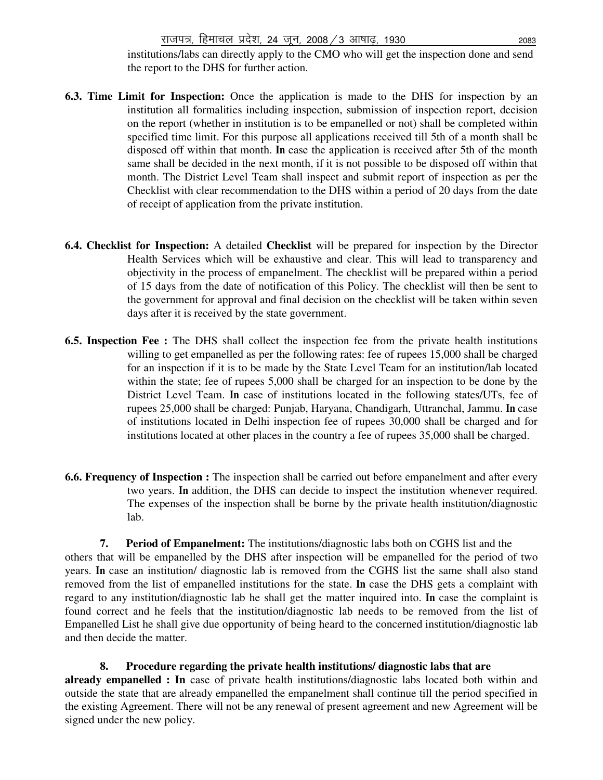institutions/labs can directly apply to the CMO who will get the inspection done and send the report to the DHS for further action.

- **6.3. Time Limit for Inspection:** Once the application is made to the DHS for inspection by an institution all formalities including inspection, submission of inspection report, decision on the report (whether in institution is to be empanelled or not) shall be completed within specified time limit. For this purpose all applications received till 5th of a month shall be disposed off within that month. **In** case the application is received after 5th of the month same shall be decided in the next month, if it is not possible to be disposed off within that month. The District Level Team shall inspect and submit report of inspection as per the Checklist with clear recommendation to the DHS within a period of 20 days from the date of receipt of application from the private institution.
- **6.4. Checklist for Inspection:** A detailed **Checklist** will be prepared for inspection by the Director Health Services which will be exhaustive and clear. This will lead to transparency and objectivity in the process of empanelment. The checklist will be prepared within a period of 15 days from the date of notification of this Policy. The checklist will then be sent to the government for approval and final decision on the checklist will be taken within seven days after it is received by the state government.
- **6.5. Inspection Fee :** The DHS shall collect the inspection fee from the private health institutions willing to get empanelled as per the following rates: fee of rupees 15,000 shall be charged for an inspection if it is to be made by the State Level Team for an institution/lab located within the state; fee of rupees 5,000 shall be charged for an inspection to be done by the District Level Team. **In** case of institutions located in the following states/UTs, fee of rupees 25,000 shall be charged: Punjab, Haryana, Chandigarh, Uttranchal, Jammu. **In** case of institutions located in Delhi inspection fee of rupees 30,000 shall be charged and for institutions located at other places in the country a fee of rupees 35,000 shall be charged.
- **6.6. Frequency of Inspection :** The inspection shall be carried out before empanelment and after every two years. **In** addition, the DHS can decide to inspect the institution whenever required. The expenses of the inspection shall be borne by the private health institution/diagnostic lab.

**7. Period of Empanelment:** The institutions/diagnostic labs both on CGHS list and the others that will be empanelled by the DHS after inspection will be empanelled for the period of two years. **In** case an institution/ diagnostic lab is removed from the CGHS list the same shall also stand removed from the list of empanelled institutions for the state. **In** case the DHS gets a complaint with regard to any institution/diagnostic lab he shall get the matter inquired into. **In** case the complaint is found correct and he feels that the institution/diagnostic lab needs to be removed from the list of Empanelled List he shall give due opportunity of being heard to the concerned institution/diagnostic lab and then decide the matter.

**8. Procedure regarding the private health institutions/ diagnostic labs that are already empanelled : In** case of private health institutions/diagnostic labs located both within and outside the state that are already empanelled the empanelment shall continue till the period specified in the existing Agreement. There will not be any renewal of present agreement and new Agreement will be signed under the new policy.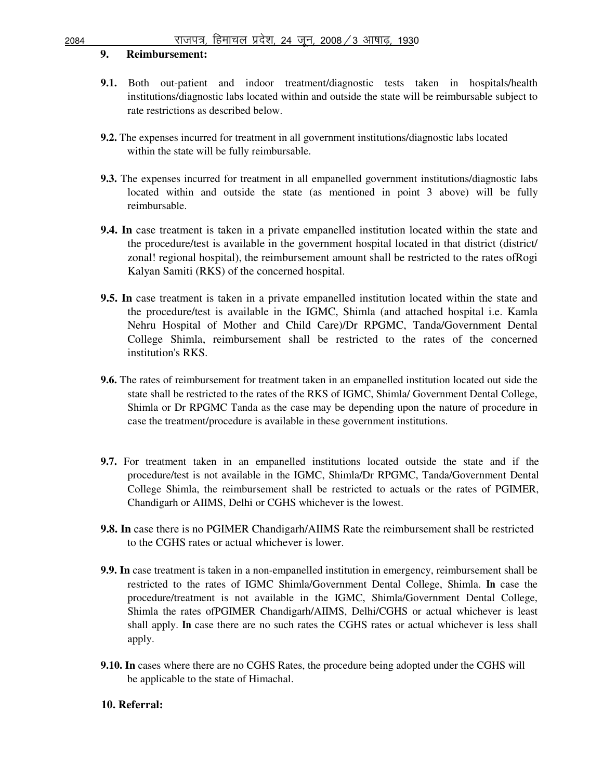# **9. Reimbursement:**

- **9.1.** Both out-patient and indoor treatment/diagnostic tests taken in hospitals/health institutions/diagnostic labs located within and outside the state will be reimbursable subject to rate restrictions as described below.
- **9.2.** The expenses incurred for treatment in all government institutions/diagnostic labs located within the state will be fully reimbursable.
- **9.3.** The expenses incurred for treatment in all empanelled government institutions/diagnostic labs located within and outside the state (as mentioned in point 3 above) will be fully reimbursable.
- **9.4. In** case treatment is taken in a private empanelled institution located within the state and the procedure/test is available in the government hospital located in that district (district/ zonal! regional hospital), the reimbursement amount shall be restricted to the rates ofRogi Kalyan Samiti (RKS) of the concerned hospital.
- **9.5. In** case treatment is taken in a private empanelled institution located within the state and the procedure/test is available in the IGMC, Shimla (and attached hospital i.e. Kamla Nehru Hospital of Mother and Child Care)/Dr RPGMC, Tanda/Government Dental College Shimla, reimbursement shall be restricted to the rates of the concerned institution's RKS.
- **9.6.** The rates of reimbursement for treatment taken in an empanelled institution located out side the state shall be restricted to the rates of the RKS of IGMC, Shimla/ Government Dental College, Shimla or Dr RPGMC Tanda as the case may be depending upon the nature of procedure in case the treatment/procedure is available in these government institutions.
- **9.7.** For treatment taken in an empanelled institutions located outside the state and if the procedure/test is not available in the IGMC, Shimla/Dr RPGMC, Tanda/Government Dental College Shimla, the reimbursement shall be restricted to actuals or the rates of PGIMER, Chandigarh or AIIMS, Delhi or CGHS whichever is the lowest.
- **9.8. In** case there is no PGIMER Chandigarh/AIIMS Rate the reimbursement shall be restricted to the CGHS rates or actual whichever is lower.
- **9.9. In** case treatment is taken in a non-empanelled institution in emergency, reimbursement shall be restricted to the rates of IGMC Shimla/Government Dental College, Shimla. **In** case the procedure/treatment is not available in the IGMC, Shimla/Government Dental College, Shimla the rates ofPGIMER Chandigarh/AIIMS, Delhi/CGHS or actual whichever is least shall apply. **In** case there are no such rates the CGHS rates or actual whichever is less shall apply.
- **9.10. In** cases where there are no CGHS Rates, the procedure being adopted under the CGHS will be applicable to the state of Himachal.

# **10. Referral:**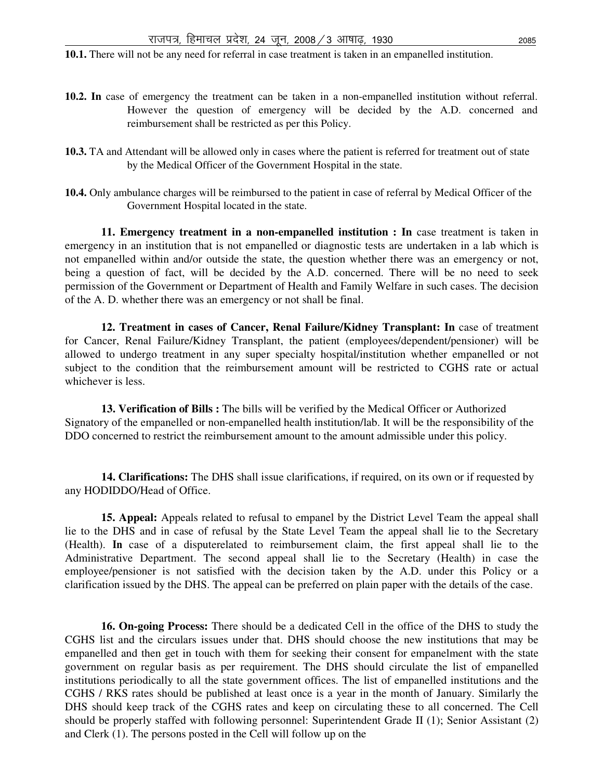**10.1.** There will not be any need for referral in case treatment is taken in an empanelled institution.

- **10.2. In** case of emergency the treatment can be taken in a non-empanelled institution without referral. However the question of emergency will be decided by the A.D. concerned and reimbursement shall be restricted as per this Policy.
- **10.3.** TA and Attendant will be allowed only in cases where the patient is referred for treatment out of state by the Medical Officer of the Government Hospital in the state.
- **10.4.** Only ambulance charges will be reimbursed to the patient in case of referral by Medical Officer of the Government Hospital located in the state.

**11. Emergency treatment in a non-empanelled institution : In case treatment is taken in** emergency in an institution that is not empanelled or diagnostic tests are undertaken in a lab which is not empanelled within and/or outside the state, the question whether there was an emergency or not, being a question of fact, will be decided by the A.D. concerned. There will be no need to seek permission of the Government or Department of Health and Family Welfare in such cases. The decision of the A. D. whether there was an emergency or not shall be final.

**12. Treatment in cases of Cancer, Renal Failure/Kidney Transplant: In** case of treatment for Cancer, Renal Failure/Kidney Transplant, the patient (employees/dependent/pensioner) will be allowed to undergo treatment in any super specialty hospital/institution whether empanelled or not subject to the condition that the reimbursement amount will be restricted to CGHS rate or actual whichever is less.

**13. Verification of Bills :** The bills will be verified by the Medical Officer or Authorized Signatory of the empanelled or non-empanelled health institution/lab. It will be the responsibility of the DDO concerned to restrict the reimbursement amount to the amount admissible under this policy.

**14. Clarifications:** The DHS shall issue clarifications, if required, on its own or if requested by any HODIDDO/Head of Office.

**15. Appeal:** Appeals related to refusal to empanel by the District Level Team the appeal shall lie to the DHS and in case of refusal by the State Level Team the appeal shall lie to the Secretary (Health). **In** case of a disputerelated to reimbursement claim, the first appeal shall lie to the Administrative Department. The second appeal shall lie to the Secretary (Health) in case the employee/pensioner is not satisfied with the decision taken by the A.D. under this Policy or a clarification issued by the DHS. The appeal can be preferred on plain paper with the details of the case.

**16. On-going Process:** There should be a dedicated Cell in the office of the DHS to study the CGHS list and the circulars issues under that. DHS should choose the new institutions that may be empanelled and then get in touch with them for seeking their consent for empanelment with the state government on regular basis as per requirement. The DHS should circulate the list of empanelled institutions periodically to all the state government offices. The list of empanelled institutions and the CGHS / RKS rates should be published at least once is a year in the month of January. Similarly the DHS should keep track of the CGHS rates and keep on circulating these to all concerned. The Cell should be properly staffed with following personnel: Superintendent Grade II (1); Senior Assistant (2) and Clerk (1). The persons posted in the Cell will follow up on the